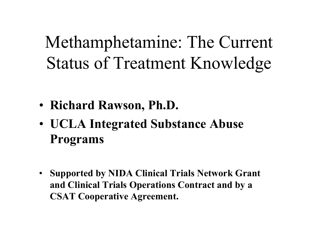Methamphetamine: The Current **Status of Treatment Knowledge** 

- Richard Rawson, Ph.D.
- UCLA Integrated Substance Abuse **Programs**
- **Supported by NIDA Clinical Trials Network Grant**  $\bullet$ and Clinical Trials Operations Contract and by a **CSAT Cooperative Agreement.**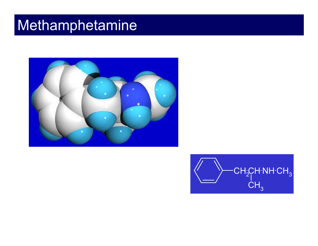### Methamphetamine



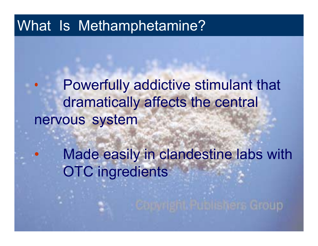#### What Is Methamphetamine?

 $\bullet$ 

 $\bullet$  Powerfully addictive stimulant that dramatically affects the central nervous system

> Made easily in clandestine labs with OTC ingredients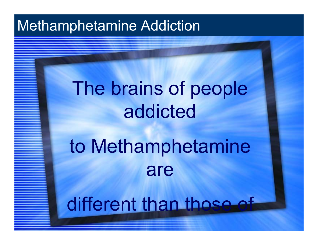### Methamphetamine Addiction

# The brains of people addicted

# to Methamphetamine are

# different than those of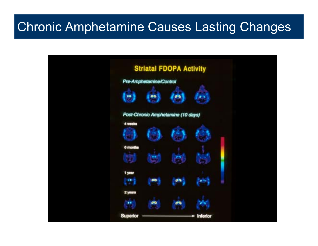#### Chronic Amphetamine Causes Lasting Changes

|                                  | Pre-Amphetamine/Control | <b>Striatal FDOPA Activity</b>     |                 |
|----------------------------------|-------------------------|------------------------------------|-----------------|
| 19                               | قاة                     | 撒                                  |                 |
| 4 wooks                          |                         | Post-Chronic Amphetamine (10 days) |                 |
|                                  |                         |                                    |                 |
| 6 months                         |                         |                                    |                 |
| 1 year<br>ŧ                      | <b>OO</b>               | <b>OB</b>                          |                 |
| 2 years<br><b>WW</b><br>Superior | a G                     |                                    | <b>Inferior</b> |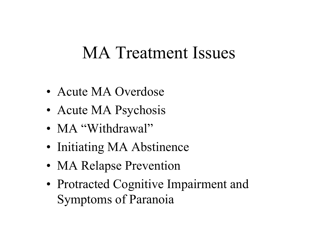# **MA Treatment Issues**

- Acute MA Overdose
- Acute MA Psychosis
- MA "Withdrawal"
- Initiating MA Abstinence
- MA Relapse Prevention
- Protracted Cognitive Impairment and **Symptoms of Paranoia**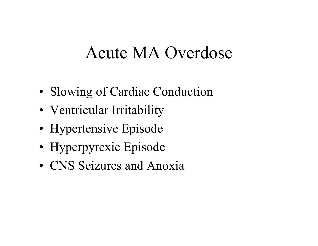### Acute MA Overdose

- •• Slowing of Cardiac Conduction
- •Ventricular Irritability
- •Hypertensive Episode
- •Hyperpyrexic Episode
- CNS Seizures and Anoxia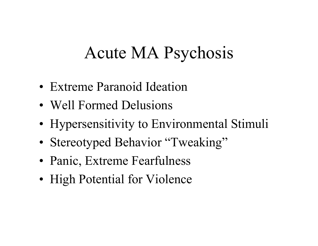# Acute MA Psychosis

- Extreme Paranoid Ideation
- Well Formed Delusions
- Hypersensitivity to Environmental Stimuli
- Stereotyped Behavior "Tweaking"
- Panic, Extreme Fearfulness
- High Potential for Violence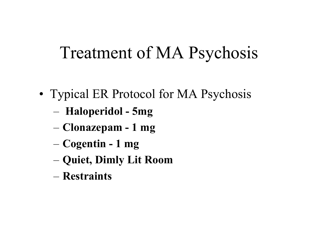# Treatment of MA Psychosis

- •• Typical ER Protocol for MA Psychosis
	- **Haloperidol -5mg**
	- **Clonazepam - 1 mg**
	- **Cogentin -1 mg**
	- **Quiet, Dimly Lit Room**
	- **Restraints**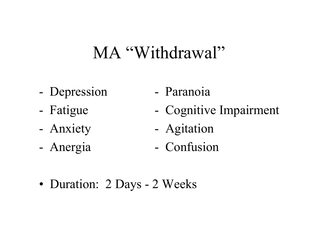# MA "Withdrawal"

- Depression
- Fatigue
- Anxiety
- Anergi a
- Paranoia
- Cognitive Impai rment
- Agitation
- -Confus ion

•• Duration: 2 Days - 2 Weeks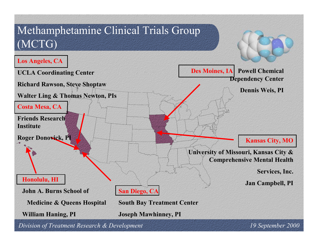

*Division of Treatment Research & Development 19 September 2000*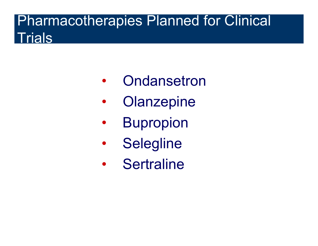#### Pharmacotherapies Planned for Clinical **Trials**

- $\bullet$ **Ondansetron**
- •**Olanzepine**
- $\bullet$ Bupropion
- $\bullet$ **Selegline**
- $\bullet$ **Sertraline**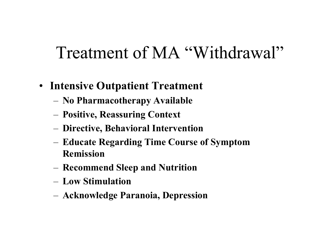# Treatment of MA "Withdrawal"

- Intensive Outpatient Treatment
	- No Pharmacotherapy Available
	- Positive, Reassuring Context
	- Directive, Behavioral Intervention
	- Educate Regarding Time Course of Symptom **Remission**
	- Recommend Sleep and Nutrition
	- Low Stimulation
	- Acknowledge Paranoia, Depression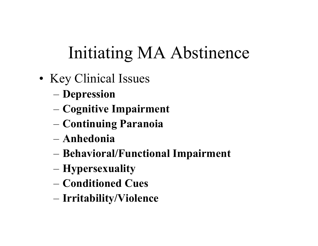# Initiating MA Abstinence

- Key Clinical Issues
	- Depression
	- Cognitive Impairment
	- Continuing Paranoia
	- $-$  Anhedonia
	- Behavioral/Functional Impairment
	- Hypersexuality
	- Conditioned Cues
	- Irritability/Violence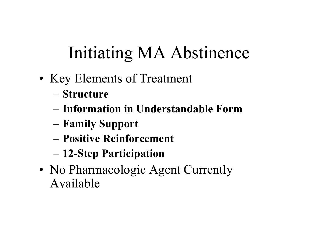# Initiating MA Abstinence

- Key Elements of Treatment
	- Structure
	- Information in Understandable Form
	- Family Support
	- Positive Reinforcement
	- 12-Step Participation
- No Pharmacologic Agent Currently Available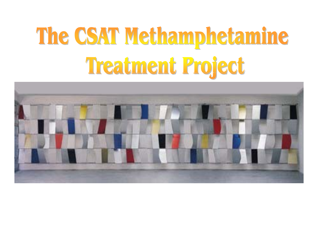# The CSAT Methamphetamine Treatment Project

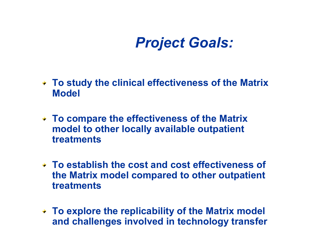### *Project Goals:*

- **To study the clinical effectiveness of the Matrix Model**
- **To compare the effectiveness of the Matrix model to other locally available outpatient treatments**
- **To establish the cost and cost effectiveness of the Matrix model compared to other outp atient treatments**
- **To explore the replicability of t he Matrix model and challenges involved in technology transfer**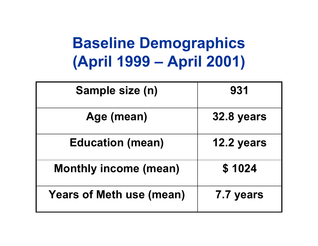# **Baseline Demographics (April 1999 – April 2001)**

| Sample size (n)                 | 931        |  |
|---------------------------------|------------|--|
| Age (mean)                      | 32.8 years |  |
| <b>Education (mean)</b>         | 12.2 years |  |
| <b>Monthly income (mean)</b>    | \$1024     |  |
| <b>Years of Meth use (mean)</b> | 7.7 years  |  |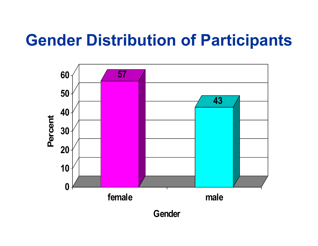# **Gender Distribution of Participants**

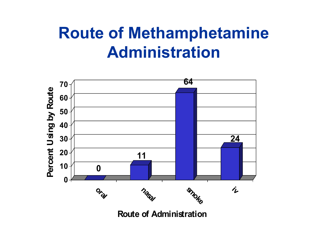# **Route of Methamphetamine Administration**



**Route of Administration**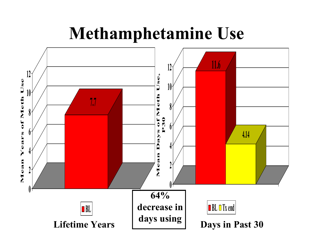## **Methamphetamine Use**

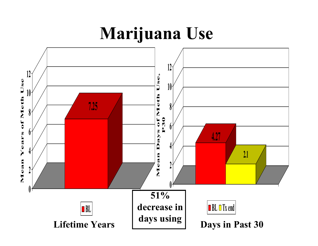# **Marijuana Use**

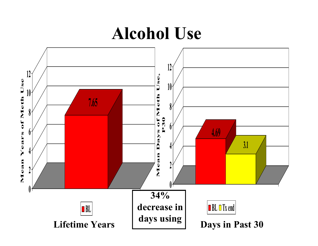### **Alcohol Use**

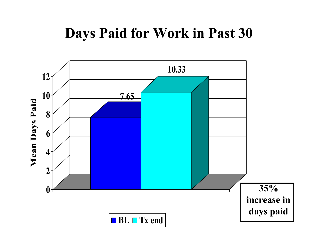### **Days Paid for Work in Past 30**